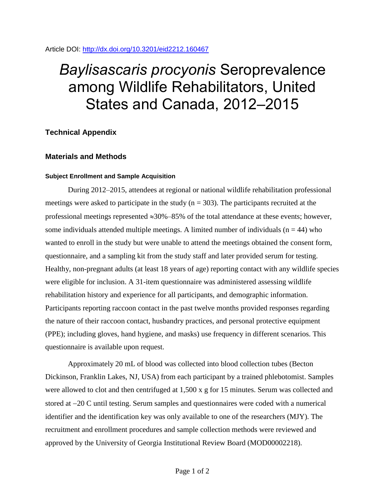## Article DOI:<http://dx.doi.org/10.3201/eid2212.160467>

# *Baylisascaris procyonis* Seroprevalence among Wildlife Rehabilitators, United States and Canada, 2012–2015

## **Technical Appendix**

## **Materials and Methods**

### **Subject Enrollment and Sample Acquisition**

During 2012–2015, attendees at regional or national wildlife rehabilitation professional meetings were asked to participate in the study ( $n = 303$ ). The participants recruited at the professional meetings represented  $\approx 30\% - 85\%$  of the total attendance at these events; however, some individuals attended multiple meetings. A limited number of individuals ( $n = 44$ ) who wanted to enroll in the study but were unable to attend the meetings obtained the consent form, questionnaire, and a sampling kit from the study staff and later provided serum for testing. Healthy, non-pregnant adults (at least 18 years of age) reporting contact with any wildlife species were eligible for inclusion. A 31-item questionnaire was administered assessing wildlife rehabilitation history and experience for all participants, and demographic information. Participants reporting raccoon contact in the past twelve months provided responses regarding the nature of their raccoon contact, husbandry practices, and personal protective equipment (PPE); including gloves, hand hygiene, and masks) use frequency in different scenarios. This questionnaire is available upon request.

Approximately 20 mL of blood was collected into blood collection tubes (Becton Dickinson, Franklin Lakes, NJ, USA) from each participant by a trained phlebotomist. Samples were allowed to clot and then centrifuged at 1,500 x g for 15 minutes. Serum was collected and stored at  $-20$  C until testing. Serum samples and questionnaires were coded with a numerical identifier and the identification key was only available to one of the researchers (MJY). The recruitment and enrollment procedures and sample collection methods were reviewed and approved by the University of Georgia Institutional Review Board (MOD00002218).